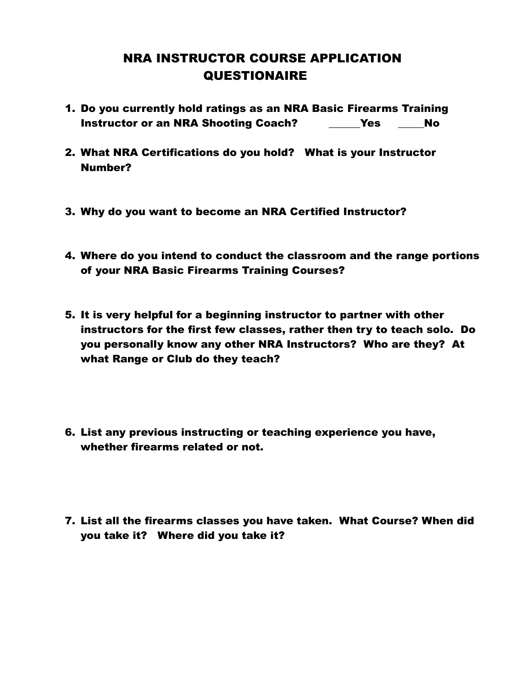## NRA INSTRUCTOR COURSE APPLICATION **QUESTIONAIRE**

- 1. Do you currently hold ratings as an NRA Basic Firearms Training Instructor or an NRA Shooting Coach? \_\_\_\_\_\_Yes \_\_\_\_\_No
- 2. What NRA Certifications do you hold? What is your Instructor Number?
- 3. Why do you want to become an NRA Certified Instructor?
- 4. Where do you intend to conduct the classroom and the range portions of your NRA Basic Firearms Training Courses?
- 5. It is very helpful for a beginning instructor to partner with other instructors for the first few classes, rather then try to teach solo. Do you personally know any other NRA Instructors? Who are they? At what Range or Club do they teach?
- 6. List any previous instructing or teaching experience you have, whether firearms related or not.
- 7. List all the firearms classes you have taken. What Course? When did you take it? Where did you take it?